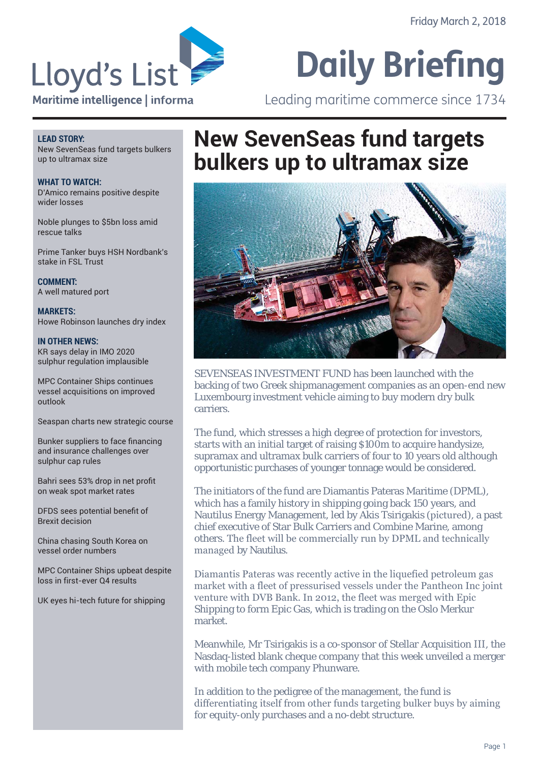

# Leading maritime commerce since 1734

#### **LEAD STORY:**

New SevenSeas fund targets bulkers up to ultramax size

**WHAT TO WATCH:** D'Amico remains positive despite wider losses

Noble plunges to \$5bn loss amid rescue talks

Prime Tanker buys HSH Nordbank's stake in FSL Trust

**COMMENT:** A well matured port

**MARKETS:** Howe Robinson launches dry index

**IN OTHER NEWS:** KR says delay in IMO 2020 sulphur regulation implausible

MPC Container Ships continues vessel acquisitions on improved outlook

Seaspan charts new strategic course

Bunker suppliers to face financing and insurance challenges over sulphur cap rules

Bahri sees 53% drop in net profit on weak spot market rates

DFDS sees potential benefit of Brexit decision

China chasing South Korea on vessel order numbers

MPC Container Ships upbeat despite loss in first-ever Q4 results

UK eves hi-tech future for shipping

## **New SevenSeas fund targets bulkers up to ultramax size**



SEVENSEAS INVESTMENT FUND has been launched with the backing of two Greek shipmanagement companies as an open-end new Luxembourg investment vehicle aiming to buy modern dry bulk carriers.

The fund, which stresses a high degree of protection for investors, starts with an initial target of raising \$100m to acquire handysize, supramax and ultramax bulk carriers of four to 10 years old although opportunistic purchases of younger tonnage would be considered.

The initiators of the fund are Diamantis Pateras Maritime (DPML), which has a family history in shipping going back 150 years, and Nautilus Energy Management, led by Akis Tsirigakis (pictured), a past chief executive of Star Bulk Carriers and Combine Marine, among others. The fleet will be commercially run by DPML and technically managed by Nautilus.

Diamantis Pateras was recently active in the liquefied petroleum gas market with a fleet of pressurised vessels under the Pantheon Inc joint venture with DVB Bank. In 2012, the fleet was merged with Epic Shipping to form Epic Gas, which is trading on the Oslo Merkur market.

Meanwhile, Mr Tsirigakis is a co-sponsor of Stellar Acquisition III, the Nasdaq-listed blank cheque company that this week unveiled a merger with mobile tech company Phunware.

In addition to the pedigree of the management, the fund is differentiating itself from other funds targeting bulker buys by aiming for equity-only purchases and a no-debt structure.